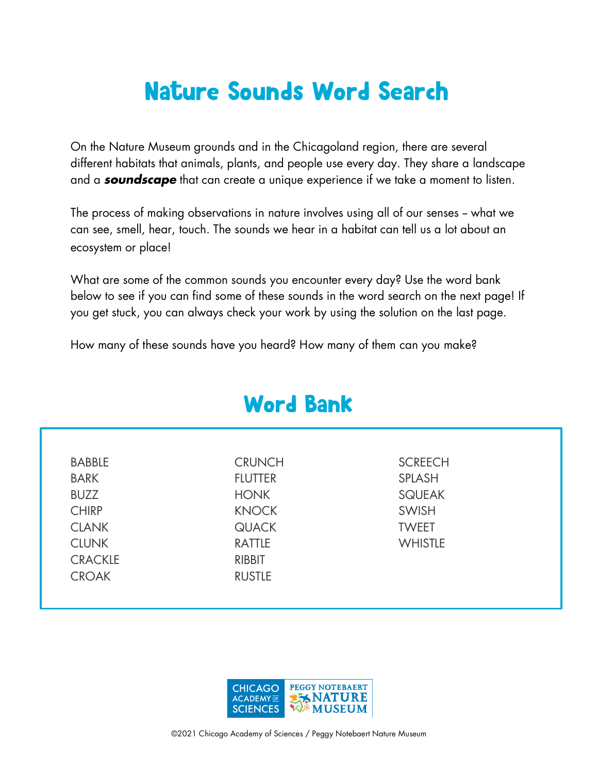## Nature Sounds Word Search

On the Nature Museum grounds and in the Chicagoland region, there are several different habitats that animals, plants, and people use every day. They share a landscape and a *soundscape* that can create a unique experience if we take a moment to listen.

The process of making observations in nature involves using all of our senses - what we can see, smell, hear, touch. The sounds we hear in a habitat can tell us a lot about an ecosystem or place!

What are some of the common sounds you encounter every day? Use the word bank below to see if you can find some of these sounds in the word search on the next page! If you get stuck, you can always check your work by using the solution on the last page.

Word Bank

How many of these sounds have you heard? How many of them can you make?

|                | word pann      |                |  |
|----------------|----------------|----------------|--|
|                |                |                |  |
| <b>BABBLE</b>  | <b>CRUNCH</b>  | <b>SCREECH</b> |  |
| <b>BARK</b>    | <b>FLUTTER</b> | <b>SPLASH</b>  |  |
| <b>BUZZ</b>    | <b>HONK</b>    | <b>SQUEAK</b>  |  |
| <b>CHIRP</b>   | <b>KNOCK</b>   | <b>SWISH</b>   |  |
| <b>CLANK</b>   | <b>QUACK</b>   | <b>TWEET</b>   |  |
| <b>CLUNK</b>   | <b>RATTLE</b>  | <b>WHISTLE</b> |  |
| <b>CRACKLE</b> | <b>RIBBIT</b>  |                |  |
| <b>CROAK</b>   | <b>RUSTLE</b>  |                |  |
|                |                |                |  |

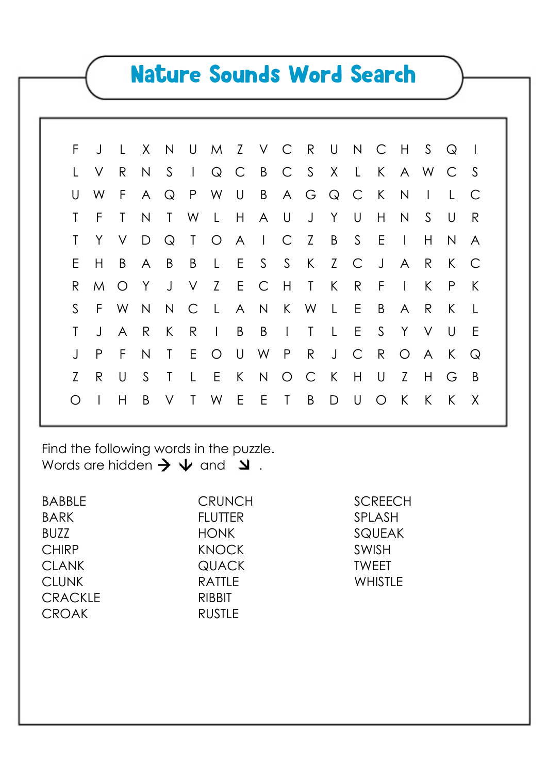## Nature Sounds Word Search

| F.          |              | J L          |    |        |     |              | X N U M Z V C R U N C H S Q |                 |   |                |                |                |              |                |
|-------------|--------------|--------------|----|--------|-----|--------------|-----------------------------|-----------------|---|----------------|----------------|----------------|--------------|----------------|
|             | $\vee$       | $\mathsf{R}$ |    |        |     |              | N S I Q C B C S X L K A W C |                 |   |                |                |                |              |                |
| U           | W            |              |    |        |     |              | F A Q P W U B A G Q C       |                 |   | K              | $\overline{N}$ | $\mathbb{R}^n$ |              |                |
|             | -F           | $\mathsf{T}$ | N  |        |     |              | T W L H A U J Y U           |                 |   | H              | N              | S.             | - U          | R              |
| Τ           | Y            |              |    |        |     |              | V D Q T O A I C Z B S E     |                 |   |                | $\mathbb{R}$   | H              | N            | A              |
| E           | H            |              |    |        |     |              | B A B B L E S S K Z C J A R |                 |   |                |                |                | K            | $\overline{C}$ |
| R.          |              |              |    |        |     |              | M O Y J V Z E C H T K       |                 | R | $-F$           | $\mathbb{R}^n$ | K              | $\mathsf{P}$ | K              |
| $S_{\cdot}$ |              |              |    |        |     |              | F W N N C L A N K W L E     |                 |   | $\overline{B}$ | $\mathsf{A}$   | R              | $\mathsf{K}$ |                |
|             | $\cdot$      | $\mathsf{A}$ | R  | K      | R   | $\mathbb{R}$ | B B                         | $I$ $I$ $L$ $E$ |   | S.             | Y V            |                | -U           | E              |
|             | P            | F.           | N  |        |     |              | T E O U W P R J C R         |                 |   |                | O A            |                | K            | $\mathcal{Q}$  |
| Z           | R.           | $\bigcup$    | S. | T L    |     |              | E K N O C K H U             |                 |   |                | Z              | H              | G            | - B            |
|             | $\mathbf{I}$ | H            | B  | $\vee$ | T W |              | E E T B D U                 |                 |   | $\bigcirc$     | K              | $\mathsf{K}$   | $\mathsf{K}$ | $\chi$         |
|             |              |              |    |        |     |              |                             |                 |   |                |                |                |              |                |

Find the following words in the puzzle. Words are hidden  $\rightarrow \rightarrow \rightarrow$  and  $\rightarrow$ 

| <b>BABBLE</b>  | <b>CRUNCH</b>  | <b>SCREECH</b> |
|----------------|----------------|----------------|
| <b>BARK</b>    | <b>FLUTTER</b> | <b>SPLASH</b>  |
| <b>BUZZ</b>    | <b>HONK</b>    | <b>SQUEAK</b>  |
| <b>CHIRP</b>   | <b>KNOCK</b>   | <b>SWISH</b>   |
| <b>CLANK</b>   | <b>QUACK</b>   | <b>TWEET</b>   |
| <b>CLUNK</b>   | <b>RATTLE</b>  | <b>WHISTLE</b> |
| <b>CRACKLE</b> | <b>RIBBIT</b>  |                |
| <b>CROAK</b>   | <b>RUSTLE</b>  |                |
|                |                |                |